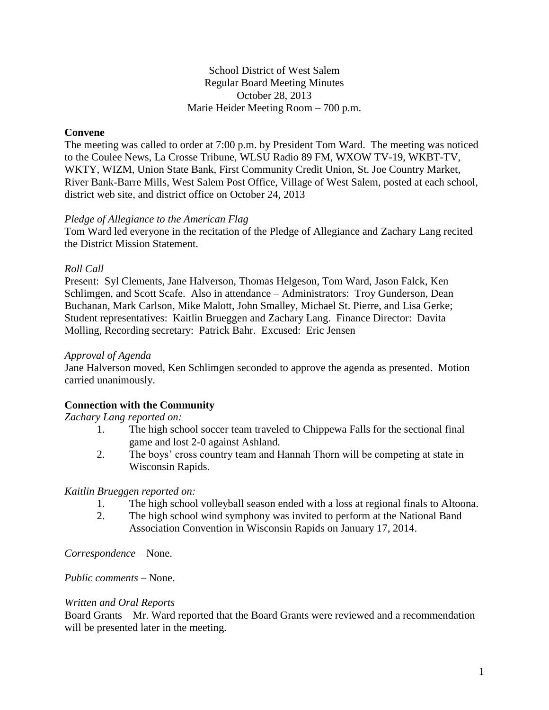School District of West Salem Regular Board Meeting Minutes October 28, 2013 Marie Heider Meeting Room – 700 p.m.

# **Convene**

The meeting was called to order at 7:00 p.m. by President Tom Ward. The meeting was noticed to the Coulee News, La Crosse Tribune, WLSU Radio 89 FM, WXOW TV-19, WKBT-TV, WKTY, WIZM, Union State Bank, First Community Credit Union, St. Joe Country Market, River Bank-Barre Mills, West Salem Post Office, Village of West Salem, posted at each school, district web site, and district office on October 24, 2013

## *Pledge of Allegiance to the American Flag*

Tom Ward led everyone in the recitation of the Pledge of Allegiance and Zachary Lang recited the District Mission Statement.

## *Roll Call*

Present: Syl Clements, Jane Halverson, Thomas Helgeson, Tom Ward, Jason Falck, Ken Schlimgen, and Scott Scafe. Also in attendance – Administrators: Troy Gunderson, Dean Buchanan, Mark Carlson, Mike Malott, John Smalley, Michael St. Pierre, and Lisa Gerke; Student representatives: Kaitlin Brueggen and Zachary Lang. Finance Director: Davita Molling, Recording secretary: Patrick Bahr. Excused: Eric Jensen

## *Approval of Agenda*

Jane Halverson moved, Ken Schlimgen seconded to approve the agenda as presented. Motion carried unanimously.

# **Connection with the Community**

#### *Zachary Lang reported on:*

- 1. The high school soccer team traveled to Chippewa Falls for the sectional final game and lost 2-0 against Ashland.
- 2. The boys' cross country team and Hannah Thorn will be competing at state in Wisconsin Rapids.

#### *Kaitlin Brueggen reported on:*

- 1. The high school volleyball season ended with a loss at regional finals to Altoona.
- 2. The high school wind symphony was invited to perform at the National Band Association Convention in Wisconsin Rapids on January 17, 2014.

*Correspondence* – None.

*Public comments –* None.

## *Written and Oral Reports*

Board Grants – Mr. Ward reported that the Board Grants were reviewed and a recommendation will be presented later in the meeting.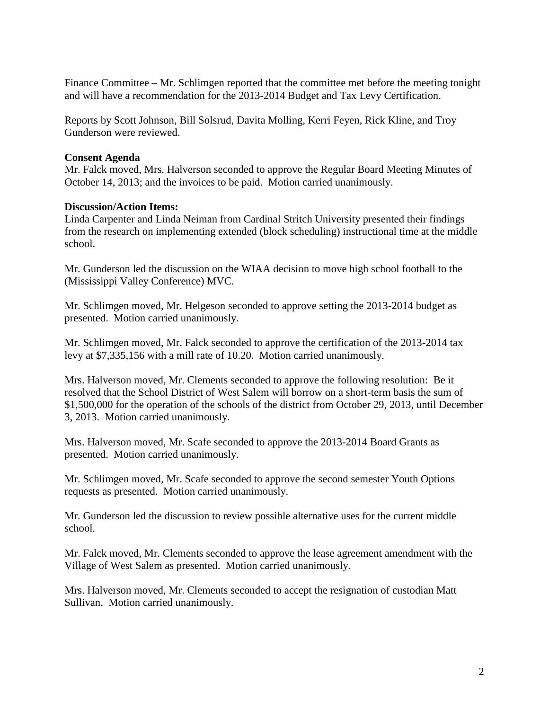Finance Committee – Mr. Schlimgen reported that the committee met before the meeting tonight and will have a recommendation for the 2013-2014 Budget and Tax Levy Certification.

Reports by Scott Johnson, Bill Solsrud, Davita Molling, Kerri Feyen, Rick Kline, and Troy Gunderson were reviewed.

# **Consent Agenda**

Mr. Falck moved, Mrs. Halverson seconded to approve the Regular Board Meeting Minutes of October 14, 2013; and the invoices to be paid. Motion carried unanimously.

# **Discussion/Action Items:**

Linda Carpenter and Linda Neiman from Cardinal Stritch University presented their findings from the research on implementing extended (block scheduling) instructional time at the middle school.

Mr. Gunderson led the discussion on the WIAA decision to move high school football to the (Mississippi Valley Conference) MVC.

Mr. Schlimgen moved, Mr. Helgeson seconded to approve setting the 2013-2014 budget as presented. Motion carried unanimously.

Mr. Schlimgen moved, Mr. Falck seconded to approve the certification of the 2013-2014 tax levy at \$7,335,156 with a mill rate of 10.20. Motion carried unanimously.

Mrs. Halverson moved, Mr. Clements seconded to approve the following resolution: Be it resolved that the School District of West Salem will borrow on a short-term basis the sum of \$1,500,000 for the operation of the schools of the district from October 29, 2013, until December 3, 2013. Motion carried unanimously.

Mrs. Halverson moved, Mr. Scafe seconded to approve the 2013-2014 Board Grants as presented. Motion carried unanimously.

Mr. Schlimgen moved, Mr. Scafe seconded to approve the second semester Youth Options requests as presented. Motion carried unanimously.

Mr. Gunderson led the discussion to review possible alternative uses for the current middle school.

Mr. Falck moved, Mr. Clements seconded to approve the lease agreement amendment with the Village of West Salem as presented. Motion carried unanimously.

Mrs. Halverson moved, Mr. Clements seconded to accept the resignation of custodian Matt Sullivan. Motion carried unanimously.